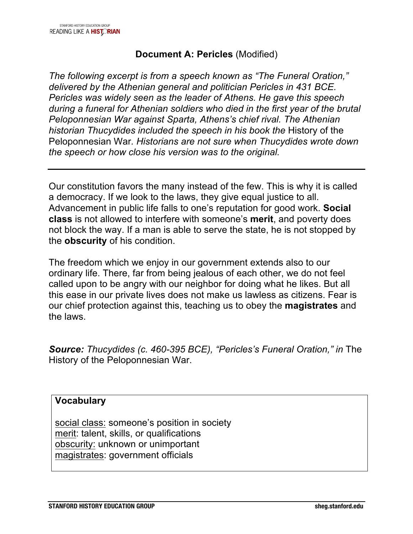## **Document A: Pericles** (Modified)

*The following excerpt is from a speech known as "The Funeral Oration," delivered by the Athenian general and politician Pericles in 431 BCE. Pericles was widely seen as the leader of Athens. He gave this speech during a funeral for Athenian soldiers who died in the first year of the brutal Peloponnesian War against Sparta, Athens's chief rival. The Athenian historian Thucydides included the speech in his book the* History of the Peloponnesian War*. Historians are not sure when Thucydides wrote down the speech or how close his version was to the original.*

Our constitution favors the many instead of the few. This is why it is called a democracy. If we look to the laws, they give equal justice to all. Advancement in public life falls to one's reputation for good work. **Social class** is not allowed to interfere with someone's **merit**, and poverty does not block the way. If a man is able to serve the state, he is not stopped by the **obscurity** of his condition.

The freedom which we enjoy in our government extends also to our ordinary life. There, far from being jealous of each other, we do not feel called upon to be angry with our neighbor for doing what he likes. But all this ease in our private lives does not make us lawless as citizens. Fear is our chief protection against this, teaching us to obey the **magistrates** and the laws.

**Source:** *Thucydides (c. 460-395 BCE), "Pericles's Funeral Oration," in The* History of the Peloponnesian War.

### **Vocabulary**

social class: someone's position in society merit: talent, skills, or qualifications obscurity: unknown or unimportant magistrates: government officials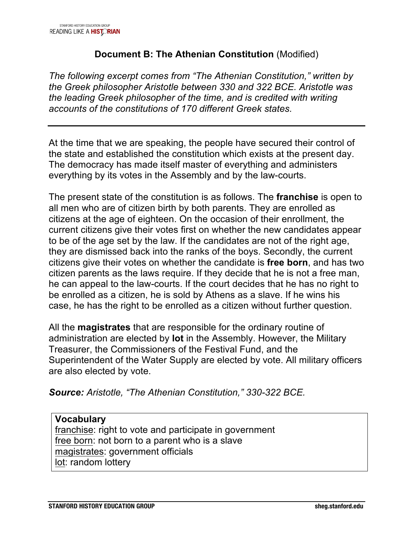## **Document B: The Athenian Constitution** (Modified)

*The following excerpt comes from "The Athenian Constitution," written by the Greek philosopher Aristotle between 330 and 322 BCE. Aristotle was the leading Greek philosopher of the time, and is credited with writing accounts of the constitutions of 170 different Greek states.*

At the time that we are speaking, the people have secured their control of the state and established the constitution which exists at the present day. The democracy has made itself master of everything and administers everything by its votes in the Assembly and by the law-courts.

The present state of the constitution is as follows. The **franchise** is open to all men who are of citizen birth by both parents. They are enrolled as citizens at the age of eighteen. On the occasion of their enrollment, the current citizens give their votes first on whether the new candidates appear to be of the age set by the law. If the candidates are not of the right age, they are dismissed back into the ranks of the boys. Secondly, the current citizens give their votes on whether the candidate is **free born**, and has two citizen parents as the laws require. If they decide that he is not a free man, he can appeal to the law-courts. If the court decides that he has no right to be enrolled as a citizen, he is sold by Athens as a slave. If he wins his case, he has the right to be enrolled as a citizen without further question.

All the **magistrates** that are responsible for the ordinary routine of administration are elected by **lot** in the Assembly. However, the Military Treasurer, the Commissioners of the Festival Fund, and the Superintendent of the Water Supply are elected by vote. All military officers are also elected by vote.

*Source: Aristotle, "The Athenian Constitution," 330-322 BCE.*

**Vocabulary** franchise: right to vote and participate in government free born: not born to a parent who is a slave magistrates: government officials lot: random lottery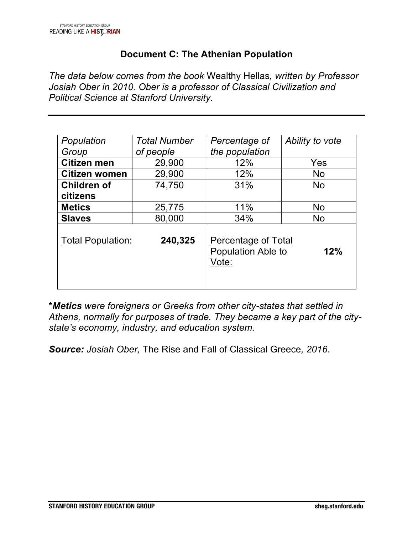## **Document C: The Athenian Population**

*The data below comes from the book* Wealthy Hellas*, written by Professor Josiah Ober in 2010. Ober is a professor of Classical Civilization and Political Science at Stanford University.*

| Population               | <b>Total Number</b> | Percentage of                                             | Ability to vote |
|--------------------------|---------------------|-----------------------------------------------------------|-----------------|
| Group                    | of people           | the population                                            |                 |
| <b>Citizen men</b>       | 29,900              | 12%                                                       | Yes             |
| Citizen women            | 29,900              | 12%                                                       | <b>No</b>       |
| <b>Children of</b>       | 74,750              | 31%                                                       | <b>No</b>       |
| citizens                 |                     |                                                           |                 |
| <b>Metics</b>            | 25,775              | 11%                                                       | No.             |
| <b>Slaves</b>            | 80,000              | 34%                                                       | <b>No</b>       |
| <b>Total Population:</b> | 240,325             | Percentage of Total<br>Population Able to<br>12%<br>Vote: |                 |

**\****Metics were foreigners or Greeks from other city-states that settled in Athens, normally for purposes of trade. They became a key part of the citystate's economy, industry, and education system.* 

*Source: Josiah Ober,* The Rise and Fall of Classical Greece*, 2016.*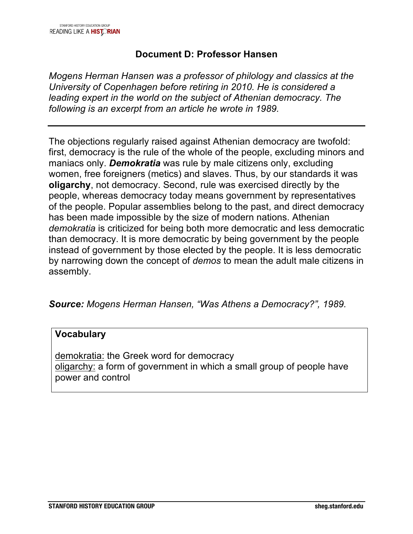## **Document D: Professor Hansen**

*Mogens Herman Hansen was a professor of philology and classics at the University of Copenhagen before retiring in 2010. He is considered a leading expert in the world on the subject of Athenian democracy. The following is an excerpt from an article he wrote in 1989.* 

The objections regularly raised against Athenian democracy are twofold: first, democracy is the rule of the whole of the people, excluding minors and maniacs only. *Demokratia* was rule by male citizens only, excluding women, free foreigners (metics) and slaves. Thus, by our standards it was **oligarchy**, not democracy. Second, rule was exercised directly by the people, whereas democracy today means government by representatives of the people. Popular assemblies belong to the past, and direct democracy has been made impossible by the size of modern nations. Athenian *demokratia* is criticized for being both more democratic and less democratic than democracy. It is more democratic by being government by the people instead of government by those elected by the people. It is less democratic by narrowing down the concept of *demos* to mean the adult male citizens in assembly.

### *Source: Mogens Herman Hansen, "Was Athens a Democracy?", 1989.*

#### **Vocabulary**

demokratia: the Greek word for democracy oligarchy: a form of government in which a small group of people have power and control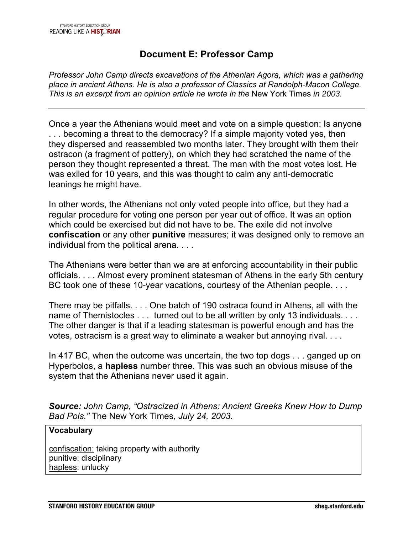## **Document E: Professor Camp**

*Professor John Camp directs excavations of the Athenian Agora, which was a gathering place in ancient Athens. He is also a professor of Classics at Randolph-Macon College. This is an excerpt from an opinion article he wrote in the* New York Times *in 2003.*

Once a year the Athenians would meet and vote on a simple question: Is anyone . . . becoming a threat to the democracy? If a simple majority voted yes, then they dispersed and reassembled two months later. They brought with them their ostracon (a fragment of pottery), on which they had scratched the name of the person they thought represented a threat. The man with the most votes lost. He was exiled for 10 years, and this was thought to calm any anti-democratic leanings he might have.

In other words, the Athenians not only voted people into office, but they had a regular procedure for voting one person per year out of office. It was an option which could be exercised but did not have to be. The exile did not involve **confiscation** or any other **punitive** measures; it was designed only to remove an individual from the political arena. . . .

The Athenians were better than we are at enforcing accountability in their public officials. . . . Almost every prominent statesman of Athens in the early 5th century BC took one of these 10-year vacations, courtesy of the Athenian people. . . .

There may be pitfalls. . . . One batch of 190 ostraca found in Athens, all with the name of Themistocles . . . turned out to be all written by only 13 individuals. . . . The other danger is that if a leading statesman is powerful enough and has the votes, ostracism is a great way to eliminate a weaker but annoying rival. . . .

In 417 BC, when the outcome was uncertain, the two top dogs . . . ganged up on Hyperbolos, a **hapless** number three. This was such an obvious misuse of the system that the Athenians never used it again.

*Source: John Camp, "Ostracized in Athens: Ancient Greeks Knew How to Dump Bad Pols."* The New York Times*, July 24, 2003.*

#### **Vocabulary**

confiscation: taking property with authority punitive: disciplinary hapless: unlucky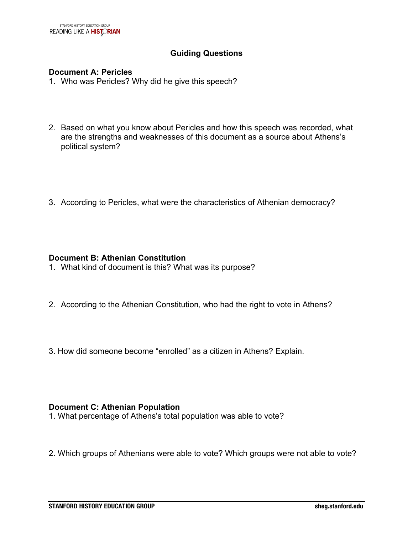#### **Guiding Questions**

#### **Document A: Pericles**

- 1. Who was Pericles? Why did he give this speech?
- 2. Based on what you know about Pericles and how this speech was recorded, what are the strengths and weaknesses of this document as a source about Athens's political system?
- 3. According to Pericles, what were the characteristics of Athenian democracy?

#### **Document B: Athenian Constitution**

- 1. What kind of document is this? What was its purpose?
- 2. According to the Athenian Constitution, who had the right to vote in Athens?
- 3. How did someone become "enrolled" as a citizen in Athens? Explain.

#### **Document C: Athenian Population**

- 1. What percentage of Athens's total population was able to vote?
- 2. Which groups of Athenians were able to vote? Which groups were not able to vote?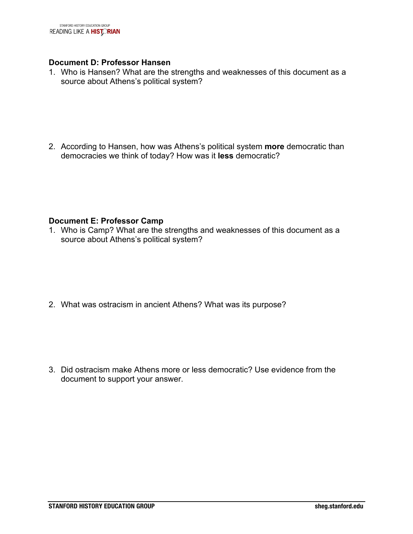#### **Document D: Professor Hansen**

1. Who is Hansen? What are the strengths and weaknesses of this document as a source about Athens's political system?

2. According to Hansen, how was Athens's political system **more** democratic than democracies we think of today? How was it **less** democratic?

#### **Document E: Professor Camp**

1. Who is Camp? What are the strengths and weaknesses of this document as a source about Athens's political system?

2. What was ostracism in ancient Athens? What was its purpose?

3. Did ostracism make Athens more or less democratic? Use evidence from the document to support your answer.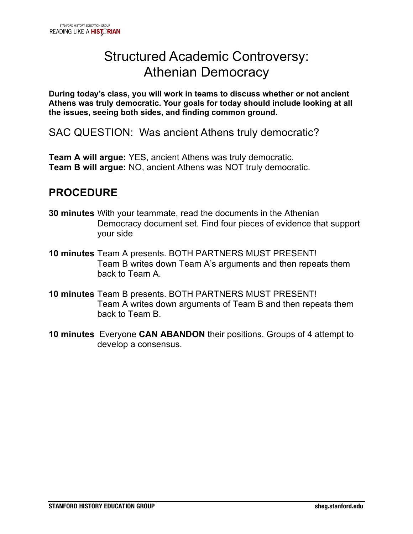# Structured Academic Controversy: Athenian Democracy

**During today's class, you will work in teams to discuss whether or not ancient Athens was truly democratic. Your goals for today should include looking at all the issues, seeing both sides, and finding common ground.** 

SAC QUESTION: Was ancient Athens truly democratic?

**Team A will argue:** YES, ancient Athens was truly democratic. **Team B will argue:** NO, ancient Athens was NOT truly democratic.

## **PROCEDURE**

- **30 minutes** With your teammate, read the documents in the Athenian Democracy document set. Find four pieces of evidence that support your side
- **10 minutes** Team A presents. BOTH PARTNERS MUST PRESENT! Team B writes down Team A's arguments and then repeats them back to Team A.
- **10 minutes** Team B presents. BOTH PARTNERS MUST PRESENT! Team A writes down arguments of Team B and then repeats them back to Team B.
- **10 minutes** Everyone **CAN ABANDON** their positions. Groups of 4 attempt to develop a consensus.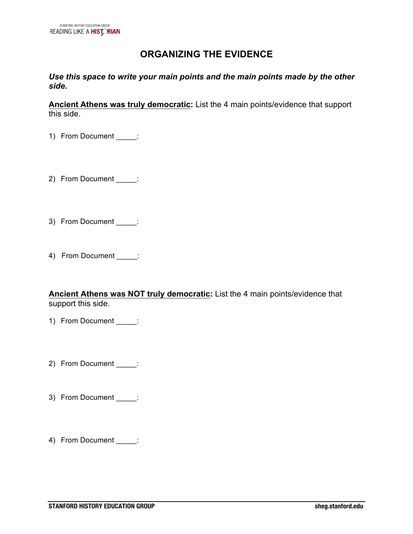## **ORGANIZING THE EVIDENCE**

*Use this space to write your main points and the main points made by the other side.*

**Ancient Athens was truly democratic:** List the 4 main points/evidence that support this side.

1) From Document \_\_\_\_\_:

- 2) From Document :
- 3) From Document \_\_\_\_\_:
- 4) From Document :

**Ancient Athens was NOT truly democratic:** List the 4 main points/evidence that support this side.

- 1) From Document \_\_\_\_\_:
- 2) From Document \_\_\_\_\_:
- 3) From Document \_\_\_\_\_:
- 4) From Document \_\_\_\_\_: